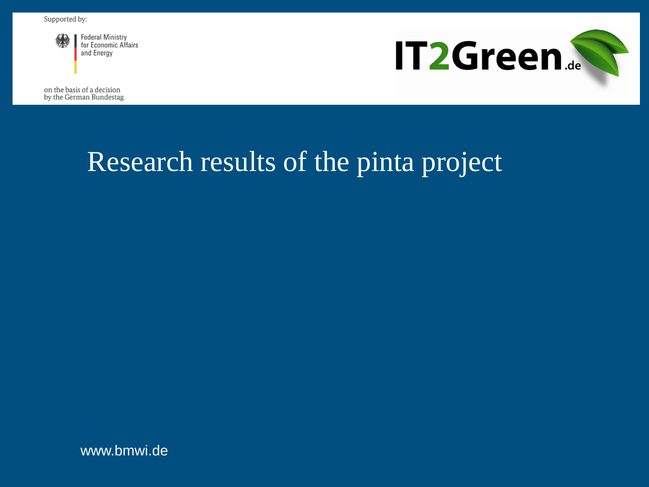

**Federal Ministry** for Economic Affairs and Energy

**IT2Green.** 

on the basis of a decision by the German Bundestag

# Research results of the pinta project

www.bmwi.de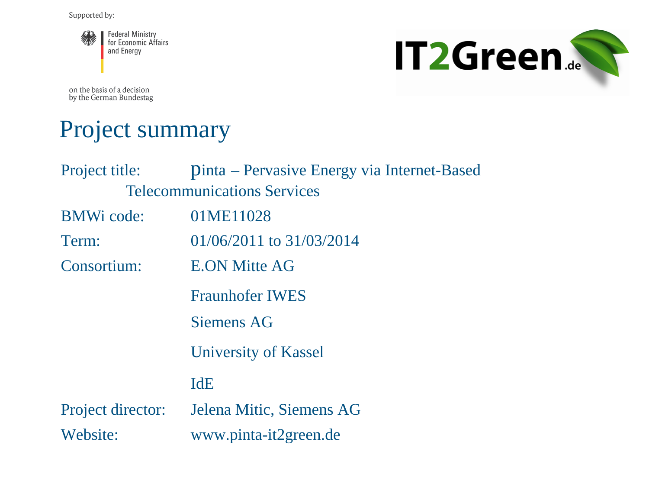



on the basis of a decision by the German Bundestag

#### Project summary

| Project title:                     | Dinta – Pervasive Energy via Internet-Based |
|------------------------------------|---------------------------------------------|
| <b>Telecommunications Services</b> |                                             |
| <b>BMWi</b> code:                  | 01ME11028                                   |
| Term:                              | $01/06/2011$ to $31/03/2014$                |
| Consortium:                        | <b>E.ON Mitte AG</b>                        |
|                                    | <b>Fraunhofer IWES</b>                      |
|                                    | <b>Siemens AG</b>                           |
|                                    | University of Kassel                        |
|                                    | <b>IdE</b>                                  |
| Project director:                  | Jelena Mitic, Siemens AG                    |
| Website:                           | www.pinta-it2green.de                       |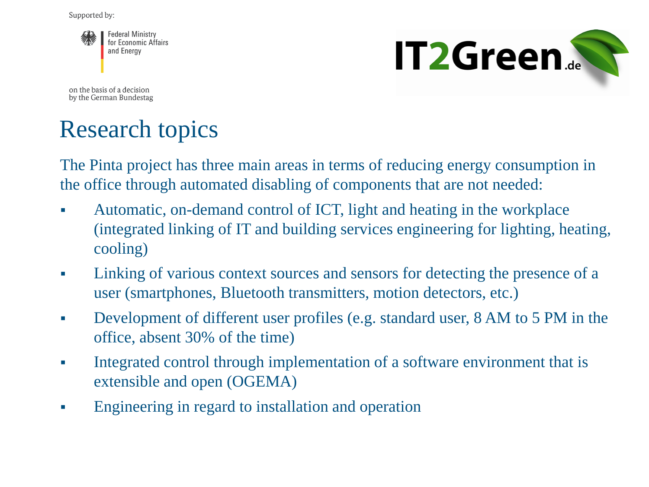

**IT2Green...** 

on the basis of a decision by the German Bundestag

## Research topics

The Pinta project has three main areas in terms of reducing energy consumption in the office through automated disabling of components that are not needed:

- Automatic, on-demand control of ICT, light and heating in the workplace (integrated linking of IT and building services engineering for lighting, heating, cooling)
- Linking of various context sources and sensors for detecting the presence of a user (smartphones, Bluetooth transmitters, motion detectors, etc.)
- Development of different user profiles (e.g. standard user, 8 AM to 5 PM in the office, absent 30% of the time)
- Integrated control through implementation of a software environment that is extensible and open (OGEMA)
- Engineering in regard to installation and operation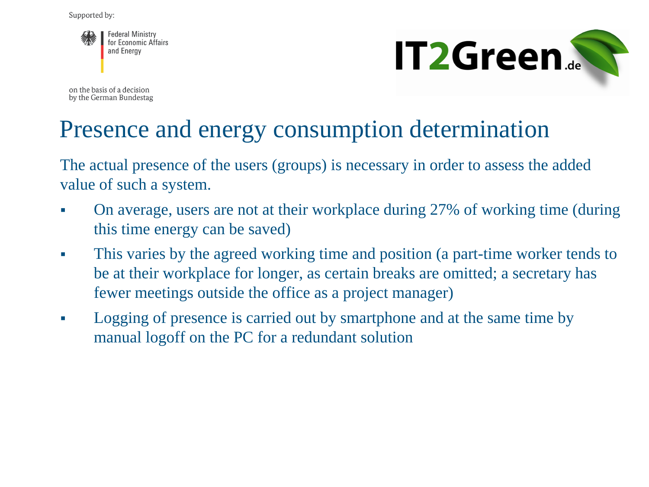

on the basis of a decision by the German Bundestag



#### Presence and energy consumption determination

The actual presence of the users (groups) is necessary in order to assess the added value of such a system.

- On average, users are not at their workplace during 27% of working time (during this time energy can be saved)
- This varies by the agreed working time and position (a part-time worker tends to be at their workplace for longer, as certain breaks are omitted; a secretary has fewer meetings outside the office as a project manager)
- Logging of presence is carried out by smartphone and at the same time by manual logoff on the PC for a redundant solution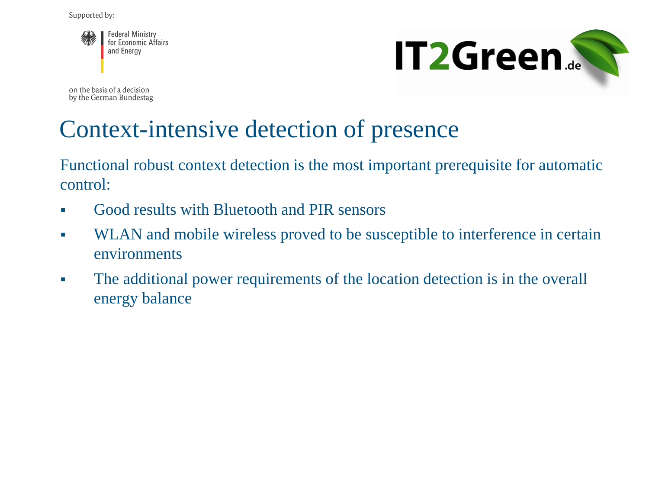



on the basis of a decision by the German Bundestag

#### Context-intensive detection of presence

Functional robust context detection is the most important prerequisite for automatic control:

- Good results with Bluetooth and PIR sensors
- WLAN and mobile wireless proved to be susceptible to interference in certain environments
- The additional power requirements of the location detection is in the overall energy balance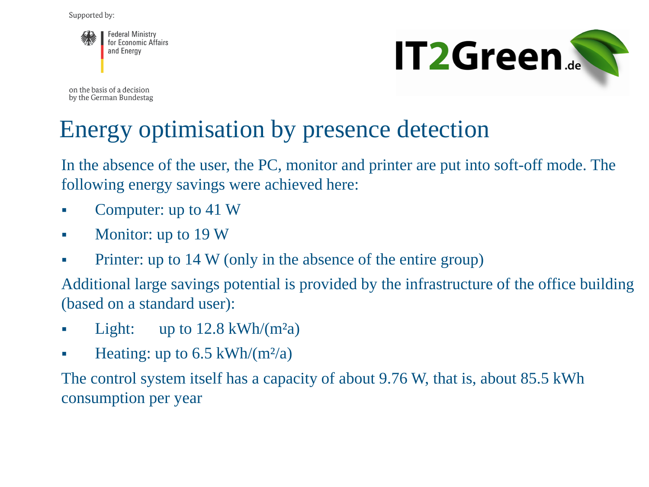

on the basis of a decision by the German Bundestag



#### Energy optimisation by presence detection

In the absence of the user, the PC, monitor and printer are put into soft-off mode. The following energy savings were achieved here:

- Computer: up to 41 W
- Monitor: up to 19 W
- Printer: up to 14 W (only in the absence of the entire group)

Additional large savings potential is provided by the infrastructure of the office building (based on a standard user):

- **Light:** up to  $12.8 \text{ kWh/(m²a)}$
- **Heating: up to 6.5 kWh/(m<sup>2</sup>/a)**

The control system itself has a capacity of about 9.76 W, that is, about 85.5 kWh consumption per year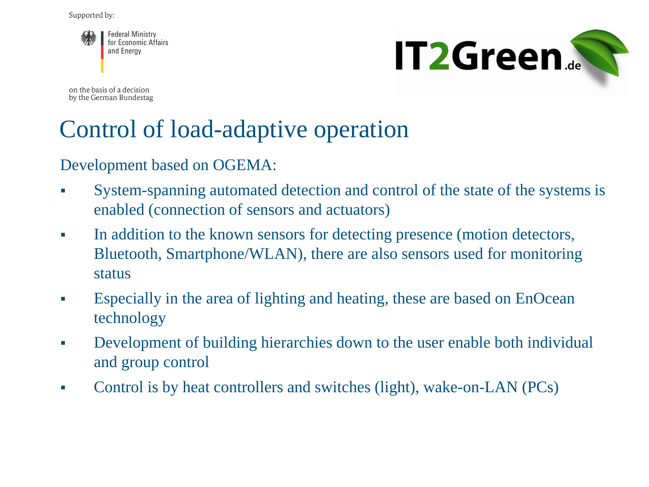



on the basis of a decision by the German Bundestag

#### Control of load-adaptive operation

Development based on OGEMA:

- System-spanning automated detection and control of the state of the systems is enabled (connection of sensors and actuators)
- In addition to the known sensors for detecting presence (motion detectors, Bluetooth, Smartphone/WLAN), there are also sensors used for monitoring status
- Especially in the area of lighting and heating, these are based on EnOcean technology
- Development of building hierarchies down to the user enable both individual and group control
- Control is by heat controllers and switches (light), wake-on-LAN (PCs)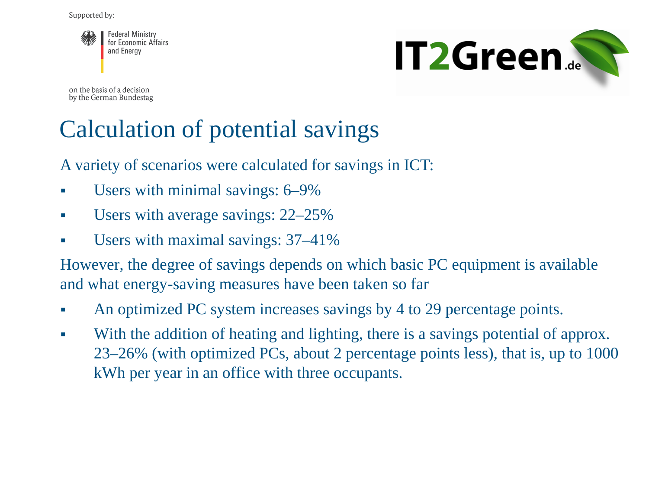



on the basis of a decision by the German Bundestag

#### Calculation of potential savings

A variety of scenarios were calculated for savings in ICT:

- Users with minimal savings: 6–9%
- Users with average savings: 22–25%
- Users with maximal savings: 37–41%

However, the degree of savings depends on which basic PC equipment is available and what energy-saving measures have been taken so far

- An optimized PC system increases savings by 4 to 29 percentage points.
- With the addition of heating and lighting, there is a savings potential of approx. 23–26% (with optimized PCs, about 2 percentage points less), that is, up to 1000 kWh per year in an office with three occupants.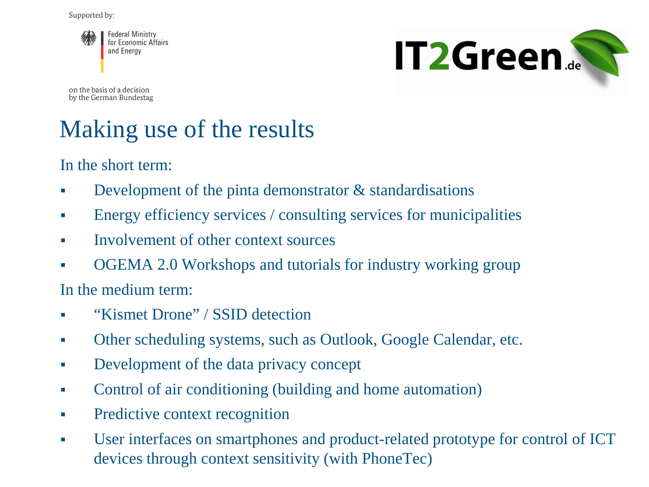



on the basis of a decision by the German Bundestag

### Making use of the results

In the short term:

- Development of the pinta demonstrator & standardisations
- Energy efficiency services / consulting services for municipalities
- Involvement of other context sources
- OGEMA 2.0 Workshops and tutorials for industry working group

In the medium term:

- " "Kismet Drone" / SSID detection
- Other scheduling systems, such as Outlook, Google Calendar, etc.
- Development of the data privacy concept
- Control of air conditioning (building and home automation)
- Predictive context recognition
- User interfaces on smartphones and product-related prototype for control of ICT devices through context sensitivity (with PhoneTec)